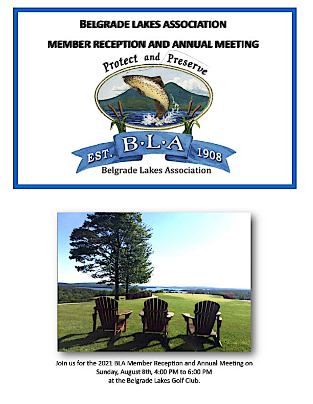



Join us for the 2021 BLA Member Reception and Annual Meeting on Sunday, August 8th, 4:00 PM to 6:00 PM at the Belgrade Lakes Golf Club.